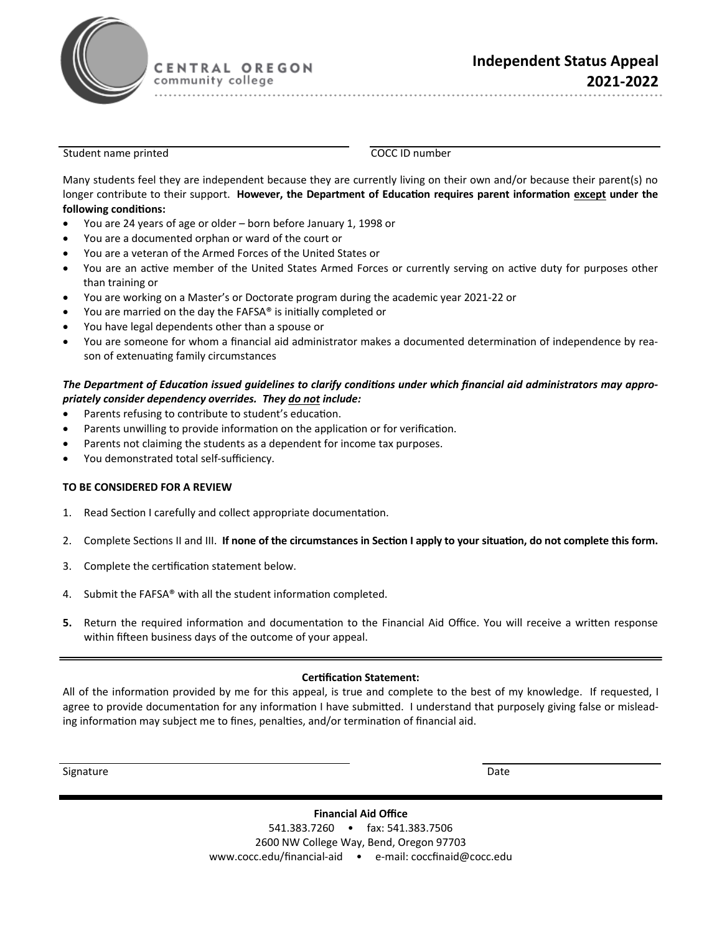

#### CENTRAL OREGON community college

Student name printed COCC ID number

Many students feel they are independent because they are currently living on their own and/or because their parent(s) no longer contribute to their support. However, the Department of Education requires parent information except under the **following condiƟons:** 

- You are 24 years of age or older born before January 1, 1998 or
- You are a documented orphan or ward of the court or
- You are a veteran of the Armed Forces of the United States or
- You are an active member of the United States Armed Forces or currently serving on active duty for purposes other than training or
- You are working on a Master's or Doctorate program during the academic year 2021‐22 or
- You are married on the day the FAFSA® is initially completed or
- You have legal dependents other than a spouse or
- You are someone for whom a financial aid administrator makes a documented determination of independence by reason of extenuating family circumstances

### The Department of Education issued quidelines to clarify conditions under which financial aid administrators may appro*priately consider dependency overrides. They do not include:*

- Parents refusing to contribute to student's education.
- Parents unwilling to provide information on the application or for verification.
- Parents not claiming the students as a dependent for income tax purposes.
- You demonstrated total self‐sufficiency.

### **TO BE CONSIDERED FOR A REVIEW**

- 1. Read Section I carefully and collect appropriate documentation.
- 2. Complete Sections II and III. If none of the circumstances in Section I apply to your situation, do not complete this form.
- 3. Complete the certification statement below.
- 4. Submit the FAFSA® with all the student information completed.
- **5.** Return the required information and documentation to the Financial Aid Office. You will receive a written response within fifteen business days of the outcome of your appeal.

## **Certification Statement:**

All of the information provided by me for this appeal, is true and complete to the best of my knowledge. If requested, I agree to provide documentation for any information I have submitted. I understand that purposely giving false or misleading information may subject me to fines, penalties, and/or termination of financial aid.

Signature Date **Date of the Contract of Contract Contract of Contract Contract Contract Only in the Date** 

**Financial Aid Office**  541.383.7260 • fax: 541.383.7506 2600 NW College Way, Bend, Oregon 97703 www.cocc.edu/financial‐aid • e‐mail: coccfinaid@cocc.edu